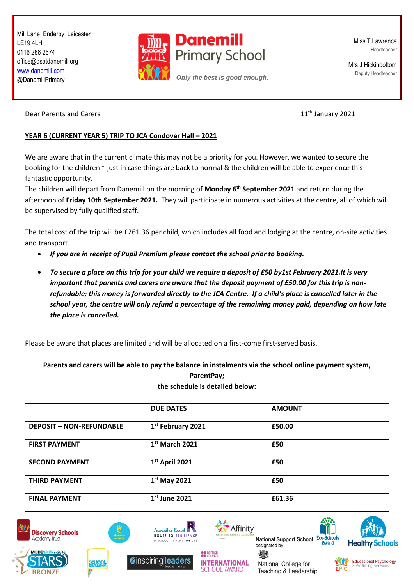Mill Lane Enderby Leicester LE19 4LH 0116 286 2674 office@dsatdanemill.org [www.danemill.com](http://www.danemill.com/) @DanemillPrimary



Miss T Lawrence Headteacher

Mrs J Hickinbottom Deputy Headteacher

Dear Parents and Carers **11<sup>th</sup> January 2021** 

## **YEAR 6 (CURRENT YEAR 5) TRIP TO JCA Condover Hall – 2021**

We are aware that in the current climate this may not be a priority for you. However, we wanted to secure the booking for the children  $\sim$  just in case things are back to normal & the children will be able to experience this fantastic opportunity.

The children will depart from Danemill on the morning of **Monday 6th September 2021** and return during the afternoon of **Friday 10th September 2021.** They will participate in numerous activities at the centre, all of which will be supervised by fully qualified staff.

The total cost of the trip will be £261.36 per child, which includes all food and lodging at the centre, on-site activities and transport.

- *If you are in receipt of Pupil Premium please contact the school prior to booking.*
- *To secure a place on this trip for your child we require a deposit of £50 by1st February 2021.It is very important that parents and carers are aware that the deposit payment of £50.00 for this trip is nonrefundable; this money is forwarded directly to the JCA Centre. If a child's place is cancelled later in the school year, the centre will only refund a percentage of the remaining money paid, depending on how late the place is cancelled.*

Please be aware that places are limited and will be allocated on a first-come first-served basis.

**Parents and carers will be able to pay the balance in instalments via the school online payment system,** 

**ParentPay; the schedule is detailed below:**

|                                 | <b>DUE DATES</b>              | <b>AMOUNT</b> |  |
|---------------------------------|-------------------------------|---------------|--|
| <b>DEPOSIT - NON-REFUNDABLE</b> | 1 <sup>st</sup> February 2021 | £50.00        |  |
| <b>FIRST PAYMENT</b>            | $1st$ March 2021              | £50           |  |
| <b>SECOND PAYMENT</b>           | $1st$ April 2021              | £50           |  |
| <b>THIRD PAYMENT</b>            | $1st$ May 2021                | £50           |  |
| <b>FINAL PAYMENT</b>            | $1st$ June 2021               | £61.36        |  |

**OO** BRITISH





余経



**Zinspiring leaders** 



**INTERNATIONAL** 

**CHOOL AWARD** 

**National Support School Eco** designated by